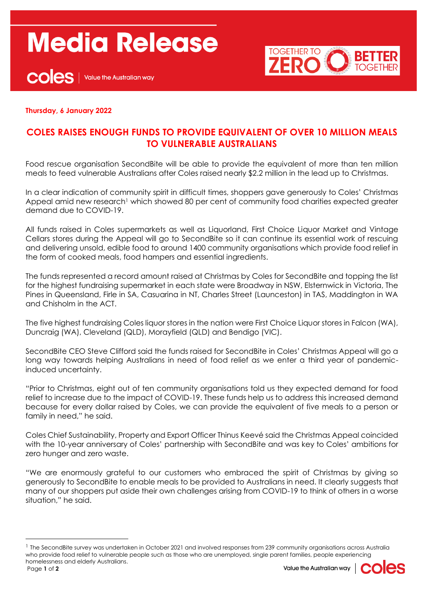## **Media Release**





## **Thursday, 6 January 2022**

## **COLES RAISES ENOUGH FUNDS TO PROVIDE EQUIVALENT OF OVER 10 MILLION MEALS TO VULNERABLE AUSTRALIANS**

Food rescue organisation SecondBite will be able to provide the equivalent of more than ten million meals to feed vulnerable Australians after Coles raised nearly \$2.2 million in the lead up to Christmas.

In a clear indication of community spirit in difficult times, shoppers gave generously to Coles' Christmas Appeal amid new research<sup>1</sup> which showed 80 per cent of community food charities expected greater demand due to COVID-19.

All funds raised in Coles supermarkets as well as Liquorland, First Choice Liquor Market and Vintage Cellars stores during the Appeal will go to SecondBite so it can continue its essential work of rescuing and delivering unsold, edible food to around 1400 community organisations which provide food relief in the form of cooked meals, food hampers and essential ingredients.

The funds represented a record amount raised at Christmas by Coles for SecondBite and topping the list for the highest fundraising supermarket in each state were Broadway in NSW, Elsternwick in Victoria, The Pines in Queensland, Firle in SA, Casuarina in NT, Charles Street (Launceston) in TAS, Maddington in WA and Chisholm in the ACT.

The five highest fundraising Coles liquor stores in the nation were First Choice Liquor stores in Falcon (WA), Duncraig (WA), Cleveland (QLD), Morayfield (QLD) and Bendigo (VIC).

SecondBite CEO Steve Clifford said the funds raised for SecondBite in Coles' Christmas Appeal will go a long way towards helping Australians in need of food relief as we enter a third year of pandemicinduced uncertainty.

"Prior to Christmas, eight out of ten community organisations told us they expected demand for food relief to increase due to the impact of COVID-19. These funds help us to address this increased demand because for every dollar raised by Coles, we can provide the equivalent of five meals to a person or family in need," he said.

Coles Chief Sustainability, Property and Export Officer Thinus Keevé said the Christmas Appeal coincided with the 10-year anniversary of Coles' partnership with SecondBite and was key to Coles' ambitions for zero hunger and zero waste.

"We are enormously grateful to our customers who embraced the spirit of Christmas by giving so generously to SecondBite to enable meals to be provided to Australians in need. It clearly suggests that many of our shoppers put aside their own challenges arising from COVID-19 to think of others in a worse situation," he said.



<sup>&</sup>lt;sup>1</sup> The SecondBite survey was undertaken in October 2021 and involved responses from 239 community organisations across Australia who provide food relief to vulnerable people such as those who are unemployed, single parent families, people experiencing homelessness and elderly Australians.